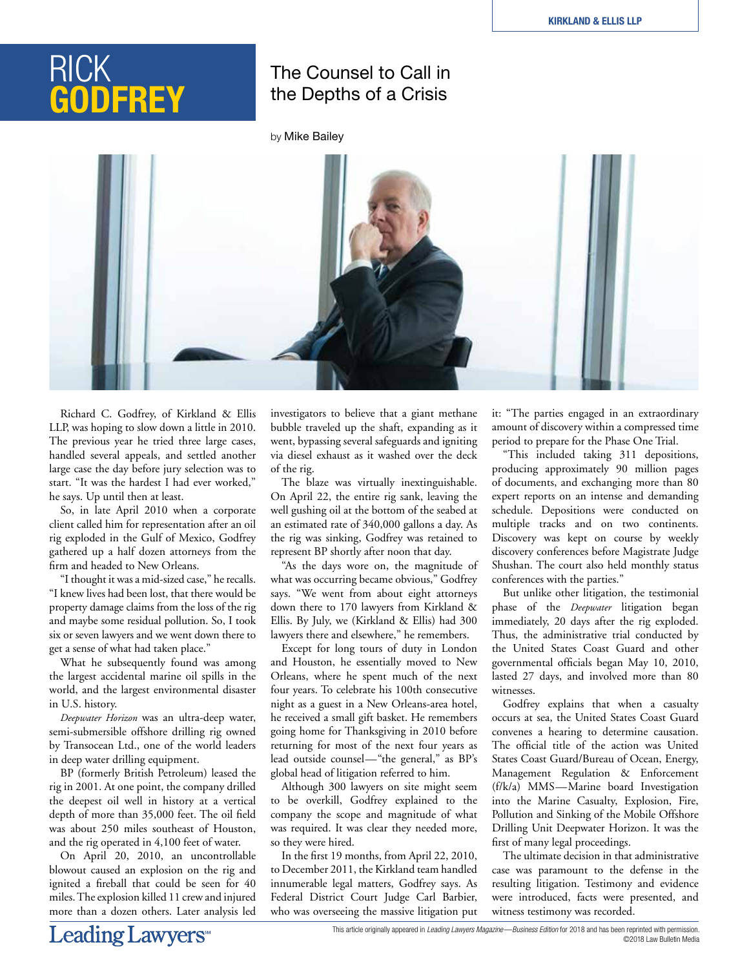# RICK **GODFREY**

## The Counsel to Call in the Depths of a Crisis

by Mike Bailey



Richard C. Godfrey, of Kirkland & Ellis LLP, was hoping to slow down a little in 2010. The previous year he tried three large cases, handled several appeals, and settled another large case the day before jury selection was to start. "It was the hardest I had ever worked," he says. Up until then at least.

So, in late April 2010 when a corporate client called him for representation after an oil rig exploded in the Gulf of Mexico, Godfrey gathered up a half dozen attorneys from the firm and headed to New Orleans.

"I thought it was a mid-sized case," he recalls. "I knew lives had been lost, that there would be property damage claims from the loss of the rig and maybe some residual pollution. So, I took six or seven lawyers and we went down there to get a sense of what had taken place."

What he subsequently found was among the largest accidental marine oil spills in the world, and the largest environmental disaster in U.S. history.

*Deepwater Horizon* was an ultra-deep water, semi-submersible offshore drilling rig owned by Transocean Ltd., one of the world leaders in deep water drilling equipment.

BP (formerly British Petroleum) leased the rig in 2001. At one point, the company drilled the deepest oil well in history at a vertical depth of more than 35,000 feet. The oil field was about 250 miles southeast of Houston, and the rig operated in 4,100 feet of water.

On April 20, 2010, an uncontrollable blowout caused an explosion on the rig and ignited a fireball that could be seen for 40 miles. The explosion killed 11 crew and injured more than a dozen others. Later analysis led investigators to believe that a giant methane bubble traveled up the shaft, expanding as it went, bypassing several safeguards and igniting via diesel exhaust as it washed over the deck of the rig.

The blaze was virtually inextinguishable. On April 22, the entire rig sank, leaving the well gushing oil at the bottom of the seabed at an estimated rate of 340,000 gallons a day. As the rig was sinking, Godfrey was retained to represent BP shortly after noon that day.

"As the days wore on, the magnitude of what was occurring became obvious," Godfrey says. "We went from about eight attorneys down there to 170 lawyers from Kirkland & Ellis. By July, we (Kirkland & Ellis) had 300 lawyers there and elsewhere," he remembers.

Except for long tours of duty in London and Houston, he essentially moved to New Orleans, where he spent much of the next four years. To celebrate his 100th consecutive night as a guest in a New Orleans-area hotel, he received a small gift basket. He remembers going home for Thanksgiving in 2010 before returning for most of the next four years as lead outside counsel—"the general," as BP's global head of litigation referred to him.

Although 300 lawyers on site might seem to be overkill, Godfrey explained to the company the scope and magnitude of what was required. It was clear they needed more, so they were hired.

In the first 19 months, from April 22, 2010, to December 2011, the Kirkland team handled innumerable legal matters, Godfrey says. As Federal District Court Judge Carl Barbier, who was overseeing the massive litigation put it: "The parties engaged in an extraordinary amount of discovery within a compressed time period to prepare for the Phase One Trial.

"This included taking 311 depositions, producing approximately 90 million pages of documents, and exchanging more than 80 expert reports on an intense and demanding schedule. Depositions were conducted on multiple tracks and on two continents. Discovery was kept on course by weekly discovery conferences before Magistrate Judge Shushan. The court also held monthly status conferences with the parties."

But unlike other litigation, the testimonial phase of the *Deepwater* litigation began immediately, 20 days after the rig exploded. Thus, the administrative trial conducted by the United States Coast Guard and other governmental officials began May 10, 2010, lasted 27 days, and involved more than 80 witnesses.

Godfrey explains that when a casualty occurs at sea, the United States Coast Guard convenes a hearing to determine causation. The official title of the action was United States Coast Guard/Bureau of Ocean, Energy, Management Regulation & Enforcement (f/k/a) MMS—Marine board Investigation into the Marine Casualty, Explosion, Fire, Pollution and Sinking of the Mobile Offshore Drilling Unit Deepwater Horizon. It was the first of many legal proceedings.

The ultimate decision in that administrative case was paramount to the defense in the resulting litigation. Testimony and evidence were introduced, facts were presented, and witness testimony was recorded.

This article originally appeared in *Leading Lawyers Magazine—Business Edition* for 2018 and has been reprinted with permission. ©2018 Law Bulletin Media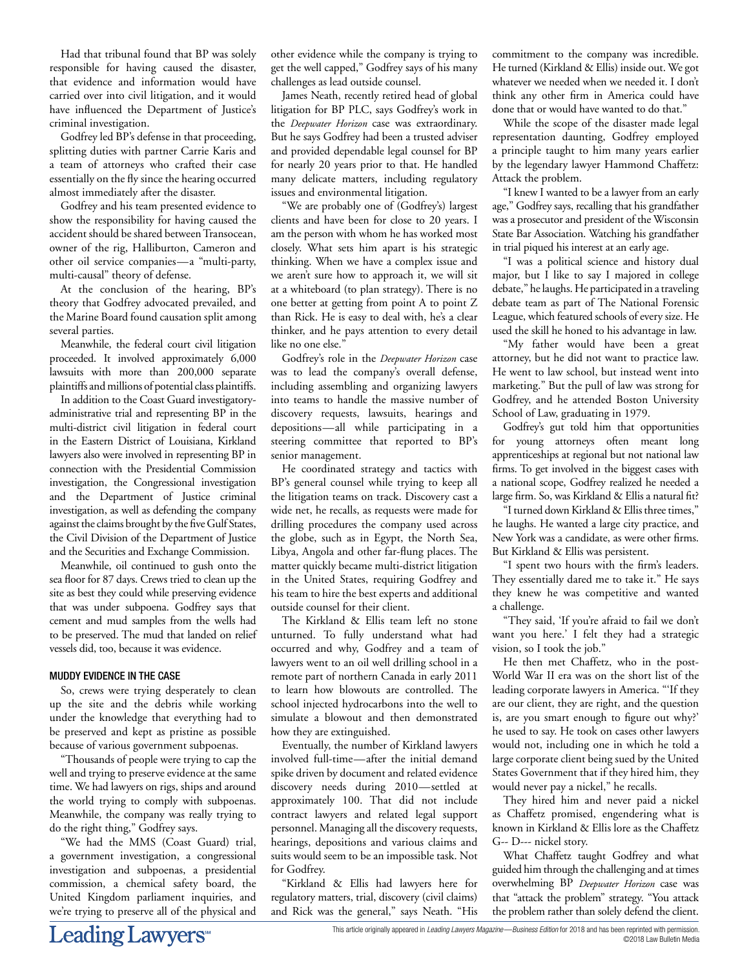Had that tribunal found that BP was solely responsible for having caused the disaster, that evidence and information would have carried over into civil litigation, and it would have influenced the Department of Justice's criminal investigation.

Godfrey led BP's defense in that proceeding, splitting duties with partner Carrie Karis and a team of attorneys who crafted their case essentially on the fly since the hearing occurred almost immediately after the disaster.

Godfrey and his team presented evidence to show the responsibility for having caused the accident should be shared between Transocean, owner of the rig, Halliburton, Cameron and other oil service companies—a "multi-party, multi-causal" theory of defense.

At the conclusion of the hearing, BP's theory that Godfrey advocated prevailed, and the Marine Board found causation split among several parties.

Meanwhile, the federal court civil litigation proceeded. It involved approximately 6,000 lawsuits with more than 200,000 separate plaintiffs and millions of potential class plaintiffs.

In addition to the Coast Guard investigatoryadministrative trial and representing BP in the multi-district civil litigation in federal court in the Eastern District of Louisiana, Kirkland lawyers also were involved in representing BP in connection with the Presidential Commission investigation, the Congressional investigation and the Department of Justice criminal investigation, as well as defending the company against the claims brought by the five Gulf States, the Civil Division of the Department of Justice and the Securities and Exchange Commission.

Meanwhile, oil continued to gush onto the sea floor for 87 days. Crews tried to clean up the site as best they could while preserving evidence that was under subpoena. Godfrey says that cement and mud samples from the wells had to be preserved. The mud that landed on relief vessels did, too, because it was evidence.

### MUDDY EVIDENCE IN THE CASE

So, crews were trying desperately to clean up the site and the debris while working under the knowledge that everything had to be preserved and kept as pristine as possible because of various government subpoenas.

"Thousands of people were trying to cap the well and trying to preserve evidence at the same time. We had lawyers on rigs, ships and around the world trying to comply with subpoenas. Meanwhile, the company was really trying to do the right thing," Godfrey says.

"We had the MMS (Coast Guard) trial, a government investigation, a congressional investigation and subpoenas, a presidential commission, a chemical safety board, the United Kingdom parliament inquiries, and we're trying to preserve all of the physical and other evidence while the company is trying to get the well capped," Godfrey says of his many challenges as lead outside counsel.

James Neath, recently retired head of global litigation for BP PLC, says Godfrey's work in the *Deepwater Horizon* case was extraordinary. But he says Godfrey had been a trusted adviser and provided dependable legal counsel for BP for nearly 20 years prior to that. He handled many delicate matters, including regulatory issues and environmental litigation.

"We are probably one of (Godfrey's) largest clients and have been for close to 20 years. I am the person with whom he has worked most closely. What sets him apart is his strategic thinking. When we have a complex issue and we aren't sure how to approach it, we will sit at a whiteboard (to plan strategy). There is no one better at getting from point A to point Z than Rick. He is easy to deal with, he's a clear thinker, and he pays attention to every detail like no one else."

Godfrey's role in the *Deepwater Horizon* case was to lead the company's overall defense, including assembling and organizing lawyers into teams to handle the massive number of discovery requests, lawsuits, hearings and depositions—all while participating in a steering committee that reported to BP's senior management.

He coordinated strategy and tactics with BP's general counsel while trying to keep all the litigation teams on track. Discovery cast a wide net, he recalls, as requests were made for drilling procedures the company used across the globe, such as in Egypt, the North Sea, Libya, Angola and other far-flung places. The matter quickly became multi-district litigation in the United States, requiring Godfrey and his team to hire the best experts and additional outside counsel for their client.

The Kirkland & Ellis team left no stone unturned. To fully understand what had occurred and why, Godfrey and a team of lawyers went to an oil well drilling school in a remote part of northern Canada in early 2011 to learn how blowouts are controlled. The school injected hydrocarbons into the well to simulate a blowout and then demonstrated how they are extinguished.

Eventually, the number of Kirkland lawyers involved full-time—after the initial demand spike driven by document and related evidence discovery needs during 2010—settled at approximately 100. That did not include contract lawyers and related legal support personnel. Managing all the discovery requests, hearings, depositions and various claims and suits would seem to be an impossible task. Not for Godfrey.

"Kirkland & Ellis had lawyers here for regulatory matters, trial, discovery (civil claims) and Rick was the general," says Neath. "His commitment to the company was incredible. He turned (Kirkland & Ellis) inside out. We got whatever we needed when we needed it. I don't think any other firm in America could have done that or would have wanted to do that."

While the scope of the disaster made legal representation daunting, Godfrey employed a principle taught to him many years earlier by the legendary lawyer Hammond Chaffetz: Attack the problem.

"I knew I wanted to be a lawyer from an early age," Godfrey says, recalling that his grandfather was a prosecutor and president of the Wisconsin State Bar Association. Watching his grandfather in trial piqued his interest at an early age.

"I was a political science and history dual major, but I like to say I majored in college debate," he laughs. He participated in a traveling debate team as part of The National Forensic League, which featured schools of every size. He used the skill he honed to his advantage in law.

"My father would have been a great attorney, but he did not want to practice law. He went to law school, but instead went into marketing." But the pull of law was strong for Godfrey, and he attended Boston University School of Law, graduating in 1979.

Godfrey's gut told him that opportunities for young attorneys often meant long apprenticeships at regional but not national law firms. To get involved in the biggest cases with a national scope, Godfrey realized he needed a large firm. So, was Kirkland & Ellis a natural fit?

"I turned down Kirkland & Ellis three times," he laughs. He wanted a large city practice, and New York was a candidate, as were other firms. But Kirkland & Ellis was persistent.

"I spent two hours with the firm's leaders. They essentially dared me to take it." He says they knew he was competitive and wanted a challenge.

"They said, 'If you're afraid to fail we don't want you here.' I felt they had a strategic vision, so I took the job."

He then met Chaffetz, who in the post-World War II era was on the short list of the leading corporate lawyers in America. "'If they are our client, they are right, and the question is, are you smart enough to figure out why?' he used to say. He took on cases other lawyers would not, including one in which he told a large corporate client being sued by the United States Government that if they hired him, they would never pay a nickel," he recalls.

They hired him and never paid a nickel as Chaffetz promised, engendering what is known in Kirkland & Ellis lore as the Chaffetz G-- D--- nickel story.

What Chaffetz taught Godfrey and what guided him through the challenging and at times overwhelming BP *Deepwater Horizon* case was that "attack the problem" strategy. "You attack the problem rather than solely defend the client.